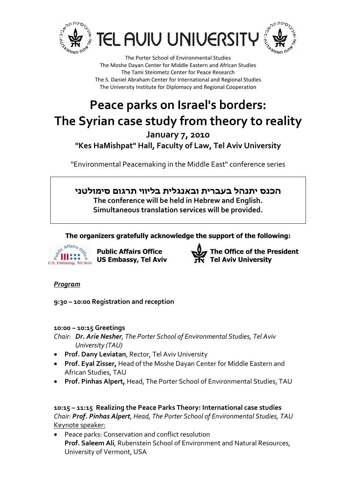





# Peace parks on Israel's borders: The Syrian case study from theory to reality January 7, 2010 "Kes HaMishpat" Hall, Faculty of Law, Tel Aviv University

"Environmental Peacemaking in the Middle East" conference series

# הכנס יתנהל בעברית ובאנגלית בליווי תרגום סימולטני The conference will be held in Hebrew and English. Simultaneous translation services will be provided.

The organizers gratefully acknowledge the support of the following:



 $\hat{\vec{z}}^{\text{c}}$   $\mathbf{H}_{\vec{\lambda} \star \vec{\lambda}}^{\text{stair}_s}$  Public Affairs Office  $U.S.$  Embassy, Tel Aviv



# Program

9:30 – 10:00 Registration and reception

#### 10:00 – 10:15 Greetings

Chair: Dr. Arie Nesher, The Porter School of Environmental Studies, Tel Aviv University (TAU)

- Prof. Dany Leviatan, Rector, Tel Aviv University
- Prof. Eyal Zisser, Head of the Moshe Dayan Center for Middle Eastern and African Studies, TAU
- Prof. Pinhas Alpert, Head, The Porter School of Environmental Studies, TAU

10:15 – 11:15 Realizing the Peace Parks Theory: International case studies Chair: Prof. Pinhas Alpert, Head, The Porter School of Environmental Studies, TAU Keynote speaker:

• Peace parks: Conservation and conflict resolution Prof. Saleem Ali, Rubenstein School of Environment and Natural Resources, University of Vermont, USA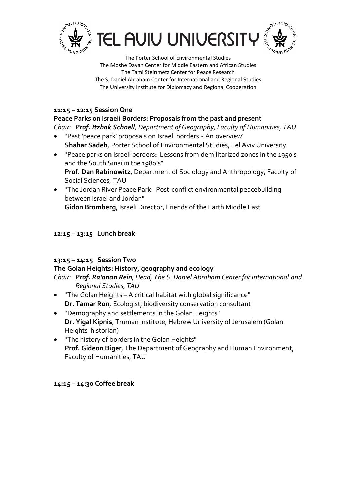





#### 11:15 – 12:15 Session One

## Peace Parks on Israeli Borders: Proposals from the past and present

Chair: Prof. Itzhak Schnell, Department of Geography, Faculty of Humanities, TAU

- "Past 'peace park' proposals on Israeli borders An overview" Shahar Sadeh, Porter School of Environmental Studies, Tel Aviv University
- "Peace parks on Israeli borders: Lessons from demilitarized zones in the 1950's and the South Sinai in the 1980's" Prof. Dan Rabinowitz, Department of Sociology and Anthropology, Faculty of Social Sciences, TAU
- "The Jordan River Peace Park: Post-conflict environmental peacebuilding between Israel and Jordan"

Gidon Bromberg, Israeli Director, Friends of the Earth Middle East

# 12:15 – 13:15 Lunch break

#### 13:15 – 14:15 Session Two

#### The Golan Heights: History, geography and ecology

Chair: Prof. Ra'anan Rein, Head, The S. Daniel Abraham Center for International and Regional Studies, TAU

- "The Golan Heights A critical habitat with global significance" Dr. Tamar Ron, Ecologist, biodiversity conservation consultant
- "Demography and settlements in the Golan Heights" Dr. Yigal Kipnis, Truman Institute, Hebrew University of Jerusalem (Golan Heights historian)
- "The history of borders in the Golan Heights" Prof. Gideon Biger, The Department of Geography and Human Environment, Faculty of Humanities, TAU

#### 14:15 – 14:30 Coffee break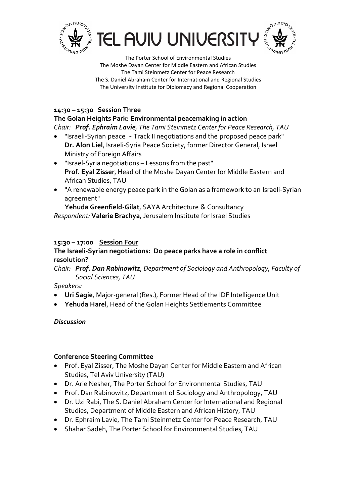





# 14:30 – 15:30 Session Three

The Golan Heights Park: Environmental peacemaking in action

- Chair: Prof. Ephraim Lavie, The Tami Steinmetz Center for Peace Research, TAU
- "Israeli-Syrian peace Track II negotiations and the proposed peace park" Dr. Alon Liel, Israeli-Syria Peace Society, former Director General, Israel Ministry of Foreign Affairs
- "Israel-Syria negotiations Lessons from the past" Prof. Eyal Zisser, Head of the Moshe Dayan Center for Middle Eastern and African Studies, TAU
- "A renewable energy peace park in the Golan as a framework to an Israeli-Syrian agreement"

Yehuda Greenfield-Gilat, SAYA Architecture & Consultancy Respondent: Valerie Brachya, Jerusalem Institute for Israel Studies

## 15:30 – 17:00 Session Four

## The Israeli-Syrian negotiations: Do peace parks have a role in conflict resolution?

Chair: Prof. Dan Rabinowitz, Department of Sociology and Anthropology, Faculty of Social Sciences, TAU

#### Speakers:

- Uri Sagie, Major-general (Res.), Former Head of the IDF Intelligence Unit
- Yehuda Harel, Head of the Golan Heights Settlements Committee

# Discussion

# Conference Steering Committee

- Prof. Eyal Zisser, The Moshe Dayan Center for Middle Eastern and African Studies, Tel Aviv University (TAU)
- Dr. Arie Nesher, The Porter School for Environmental Studies, TAU
- Prof. Dan Rabinowitz, Department of Sociology and Anthropology, TAU
- Dr. Uzi Rabi, The S. Daniel Abraham Center for International and Regional Studies, Department of Middle Eastern and African History, TAU
- Dr. Ephraim Lavie, The Tami Steinmetz Center for Peace Research, TAU
- Shahar Sadeh, The Porter School for Environmental Studies, TAU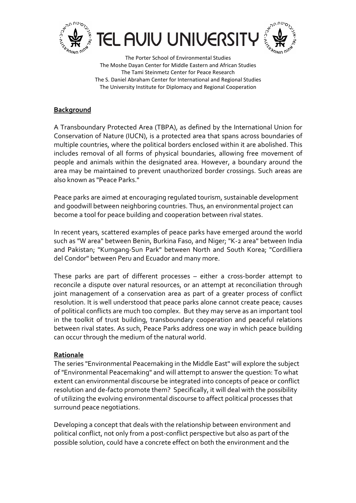





#### **Background**

A Transboundary Protected Area (TBPA), as defined by the International Union for Conservation of Nature (IUCN), is a protected area that spans across boundaries of multiple countries, where the political borders enclosed within it are abolished. This includes removal of all forms of physical boundaries, allowing free movement of people and animals within the designated area. However, a boundary around the area may be maintained to prevent unauthorized border crossings. Such areas are also known as "Peace Parks."

Peace parks are aimed at encouraging regulated tourism, sustainable development and goodwill between neighboring countries. Thus, an environmental project can become a tool for peace building and cooperation between rival states.

In recent years, scattered examples of peace parks have emerged around the world such as "W area" between Benin, Burkina Faso, and Niger; "K-2 area" between India and Pakistan; "Kumgang-Sun Park" between North and South Korea; "Cordilliera del Condor" between Peru and Ecuador and many more.

These parks are part of different processes – either a cross-border attempt to reconcile a dispute over natural resources, or an attempt at reconciliation through joint management of a conservation area as part of a greater process of conflict resolution. It is well understood that peace parks alone cannot create peace; causes of political conflicts are much too complex. But they may serve as an important tool in the toolkit of trust building, transboundary cooperation and peaceful relations between rival states. As such, Peace Parks address one way in which peace building can occur through the medium of the natural world.

#### Rationale

The series "Environmental Peacemaking in the Middle East" will explore the subject of "Environmental Peacemaking" and will attempt to answer the question: To what extent can environmental discourse be integrated into concepts of peace or conflict resolution and de-facto promote them? Specifically, it will deal with the possibility of utilizing the evolving environmental discourse to affect political processes that surround peace negotiations.

Developing a concept that deals with the relationship between environment and political conflict, not only from a post-conflict perspective but also as part of the possible solution, could have a concrete effect on both the environment and the